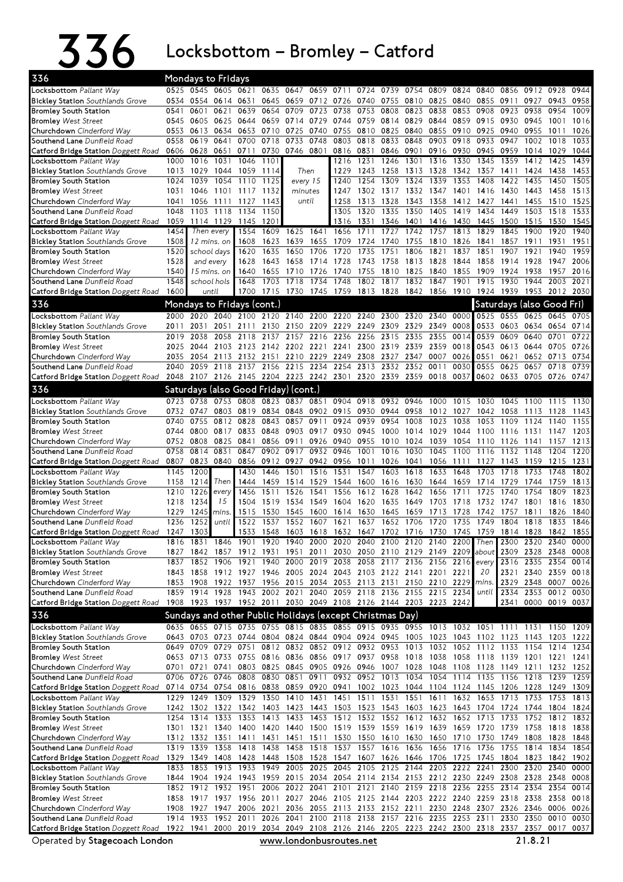$336$  Locksbottom – Bromley – Catford

| 336                                                                                                                                                 |              | <b>Mondays to Fridays</b> |                          |                                      |              |                   |              |                                                                                                                                                                    |              |                                                                  |                |              |                   |              |                           |                     |              |              |
|-----------------------------------------------------------------------------------------------------------------------------------------------------|--------------|---------------------------|--------------------------|--------------------------------------|--------------|-------------------|--------------|--------------------------------------------------------------------------------------------------------------------------------------------------------------------|--------------|------------------------------------------------------------------|----------------|--------------|-------------------|--------------|---------------------------|---------------------|--------------|--------------|
| Locksbottom Pallant Way                                                                                                                             | 0525         |                           | 0545 0605                | 0621                                 | 0635         | 0647              | 0659         | 0711                                                                                                                                                               | 0724         | 0739                                                             | 0754           | 0809         | 0824              | 0840         | 0856                      | 0912                | 0928         | 0944         |
| <b>Bickley Station</b> Southlands Grove                                                                                                             | 0534         |                           | 0554 0614 0631           |                                      | 0645         | 0659              |              | 0712 0726 0740                                                                                                                                                     |              | 0755                                                             | 0810           | 0825         | 0840              | 0855         | 0911                      | 0927                | 0943         | 0958         |
| <b>Bromley South Station</b>                                                                                                                        | 0541         | 0601                      | 0621                     | 0639                                 | 0654         | 0709              | 0723         | 0738                                                                                                                                                               | 0753         | 0808                                                             | 0823           | 0838         | 0853              | 0908         | 0923                      | 0938                | 0954         | 1009         |
| <b>Bromley</b> West Street                                                                                                                          | 0545         | 0605 0625                 |                          | 0644                                 |              | 0659 0714         | 0729         | 0744 0759                                                                                                                                                          |              |                                                                  | 0814 0829      | 0844         |                   | 0859 0915    | 0930                      | 0945                | 1001         | 1016         |
| Churchdown Cinderford Way                                                                                                                           | 0553<br>0558 | 0613<br>0619              | 0634<br>0641             | 0653<br>0700                         | 0718         | 0710 0725<br>0733 | 0740<br>0748 | 0755<br>0803                                                                                                                                                       | 0810<br>0818 | 0825<br>0833                                                     | 0840<br>0848   | 0855<br>0903 | 0910 0925<br>0918 | 0933         | 0940<br>0947              | 0955<br>1002        | 1011<br>1018 | 1026<br>1033 |
| Southend Lane Dunfield Road<br>Catford Bridge Station Doggett Road                                                                                  | 0606         | 0628                      | 0651                     | 0711                                 | 0730         |                   | 0746 0801    | 0816 0831                                                                                                                                                          |              |                                                                  | 0846 0901      | 0916         | 0930              | 0945         | 0959                      | 1014                | 1029         | 1044         |
| Locksbottom Pallant Way                                                                                                                             | 1000         | 1016                      | 1031                     | 1046                                 | 1101         |                   |              | 1216                                                                                                                                                               | 1231         | 1246                                                             | 1301           | 1316         | 1330              | 1345         | 1359                      | 1412                | 1425         | 1439         |
| <b>Bickley Station</b> Southlands Grove                                                                                                             | 1013         | 1029                      | 1044                     | 1059                                 | 1114         |                   | Then         | 1229                                                                                                                                                               | 1243         | 1258                                                             | 1313 1328      |              | 1342              | 1357         | 1411                      | 1424 1438           |              | 1453         |
| <b>Bromley South Station</b>                                                                                                                        | 1024         | 1039                      | 1054                     | 1110                                 | 1125         |                   | every 15     | 1240                                                                                                                                                               | 1254         | 1309                                                             | 1324           | 1339         | 1353              | 1408         | 1422                      | 1435                | 1450         | 1505         |
| <b>Bromley West Street</b>                                                                                                                          | 1031         | 1046                      | 1101                     | 1117                                 | 1132         |                   | minutes      | 1247                                                                                                                                                               | 1302         | 1317                                                             | 1332           | 1347         | 1401              | 1416         | 1430                      | 1443                | 1458         | 1513         |
| Churchdown Cinderford Way                                                                                                                           | 1041         | 1056                      | 1111                     | 1127                                 | 1143         |                   | until        | 1258                                                                                                                                                               | 1313         | 1328                                                             | 1343           | 1358         | 1412              | 1427         | 1441                      | 1455                | 1510         | 1525         |
| Southend Lane Dunfield Road                                                                                                                         | 1048         | 1103                      | 1118                     | 1134                                 | 1150         |                   |              | 1305                                                                                                                                                               | 1320         | 1335                                                             | 1350           | 1405         | 1419              | 1434         | 1449                      | 1503                | 1518         | 1533         |
| Catford Bridge Station Doggett Road                                                                                                                 | 1059         |                           | 1114 1129                | 1145                                 | 1201         |                   |              | 1316                                                                                                                                                               | 1331         | 1346                                                             | 1401           |              | 1416 1430         | 1445         | 1500                      | 1515                | 1530         | 1545         |
| Locksbottom Pallant Way                                                                                                                             | 1454         |                           | Then every               | 1554                                 | 1609         | 1625              | 1641         | 1656                                                                                                                                                               | 1711         | 1727                                                             | 1742           | 1757         | 1813              | 1829         | 1845                      | 1900                | 1920         | 1940         |
| <b>Bickley Station</b> Southlands Grove                                                                                                             | 1508         |                           | 12 mins. on              | 1608                                 | 1623         | 1639              | 1655         | 1709                                                                                                                                                               | 1724         | 1740                                                             | 1755           | 1810         | 1826              | 1841         | 1857                      | 1911                | 1931         | 1951         |
| <b>Bromley South Station</b>                                                                                                                        | 1520         |                           | school days              | 1620                                 | 1635         | 1650              | 1706         | 1720<br>1728                                                                                                                                                       | 1735<br>1743 | 1751                                                             | 1806<br>1813   | 1821<br>1828 | 1837              | 1851<br>1858 | 1907<br>1914              | 1921                | 1940         | 1959<br>2006 |
| <b>Bromley</b> West Street<br>Churchdown Cinderford Way                                                                                             | 1528<br>1540 |                           | and every<br>15 mins. on | 1628<br>1640                         | 1643<br>1655 | 1658<br>1710      | 1714<br>1726 | 1740                                                                                                                                                               | 1755         | 1758<br>1810                                                     | 1825           | 1840         | 1844<br>1855      | 1909         | 1924                      | 1928<br>1938        | 1947<br>1957 | 2016         |
| Southend Lane Dunfield Road                                                                                                                         | 1548         |                           | school hols              | 1648                                 | 1703         | 1718              | 1734         | 1748                                                                                                                                                               | 1802         | 1817                                                             | 1832           | 1847         | 1901              | 1915         | 1930                      | 1944                | 2003         | 2021         |
| Catford Bridge Station Doggett Road                                                                                                                 | 1600         |                           | until                    | 1700                                 |              | 1715 1730 1745    |              |                                                                                                                                                                    | 1759 1813    | 1828 1842 1856 1910 1924 1939 1953 2012                          |                |              |                   |              |                           |                     |              | 2030         |
| 336                                                                                                                                                 |              |                           |                          | Mondays to Fridays (cont.)           |              |                   |              |                                                                                                                                                                    |              |                                                                  |                |              |                   |              | Saturdays (also Good Fri) |                     |              |              |
|                                                                                                                                                     | 2000         | 2020                      | 2040                     | 2100                                 |              | 2120 2140         | 2200         |                                                                                                                                                                    | 2220 2240    |                                                                  | 2300 2320      | 2340         | 0000              | 0525         | 0555                      | 0625                | 0645         | 0705         |
| Locksbottom Pallant Way<br><b>Bickley Station</b> Southlands Grove                                                                                  | 2011         | 2031                      | 2051                     | 2111                                 |              | 2130 2150         | 2209         | 2229 2249                                                                                                                                                          |              |                                                                  | 2309 2329 2349 |              | 0008              | 0533         | 0603                      | 0634                | 0654         | 0714         |
| <b>Bromley South Station</b>                                                                                                                        | 2019         | 2038                      | 2058                     | 2118                                 | 2137         | 2157              | 2216         | 2236                                                                                                                                                               | 2256         | 2315                                                             | 2335           | 2355         | 0014              | 0539         | 0609                      | 0640                | 0701         | 0722         |
| <b>Bromley West Street</b>                                                                                                                          | 2025         | 2044                      |                          | 2103 2123 2142 2202 2221             |              |                   |              |                                                                                                                                                                    | 2241 2300    | 2319 2339 2359                                                   |                |              | 0018              | 0543         | 0613                      | 0644 0705           |              | 0726         |
| Churchdown Cinderford Way                                                                                                                           | 2035         | 2054                      | 2113                     | 2132                                 | 2151         | 2210              | 2229         | 2249                                                                                                                                                               | 2308         | 2327                                                             | 2347           | 0007         | 0026              | 0551         | 0621                      | 0652                | 0713         | 0734         |
| Southend Lane Dunfield Road                                                                                                                         | 2040         | 2059                      | 2118                     | 2137                                 | 2156         |                   | 2215 2234    | 2254                                                                                                                                                               | 2313         | 2332                                                             | 2352           | 0011         | 0030              | 0555         | 0625                      | 0657                | 0718         | 0739         |
| Catford Bridge Station Doggett Road                                                                                                                 |              |                           |                          |                                      |              |                   |              | 2048 2107 2126 2145 2204 2223 2242 2301 2320 2339 2359 0018                                                                                                        |              |                                                                  |                |              | 0037              | 0602         | 0633 0705 0726 0747       |                     |              |              |
| 336                                                                                                                                                 |              |                           |                          | Saturdays (also Good Friday) (cont.) |              |                   |              |                                                                                                                                                                    |              |                                                                  |                |              |                   |              |                           |                     |              |              |
| Locksbottom Pallant Way                                                                                                                             | 0723         | 0738                      | 0753                     | 0808                                 | 0823         | 0837              | 0851         | 0904                                                                                                                                                               | 0918         | 0932                                                             | 0946           | 1000         | 1015              | 1030         | 1045                      | 1100                | 1115         | 1130         |
| <b>Bickley Station</b> Southlands Grove                                                                                                             | 0732         | 0747                      | 0803                     | 0819                                 | 0834         | 0848              | 0902         | 0915                                                                                                                                                               | 0930         | 0944                                                             | 0958           | 1012         | 1027              | 1042         | 1058                      | 1113                | 1128         | 1143         |
| <b>Bromley South Station</b>                                                                                                                        | 0740         | 0755                      | 0812                     | 0828                                 | 0843         | 0857              | 0911         | 0924                                                                                                                                                               | 0939         | 0954                                                             | 1008           | 1023         | 1038              | 1053         | 1109                      | 1124                | 1140         | 1155         |
| <b>Bromley West Street</b>                                                                                                                          | 0744         | 0800                      | 0817                     | 0833                                 | 0848         | 0903              | 0917         | 0930                                                                                                                                                               | 0945         | 1000                                                             | 1014           | 1029         | 1044              | 1100         | 1116                      | 1131                | 1147         | 1203         |
| Churchdown Cinderford Way                                                                                                                           | 0752         | 0808                      | 0825                     | 0841                                 |              | 0856 0911         | 0926         | 0940 0955                                                                                                                                                          |              | 1010                                                             | 1024           | 1039         | 1054              | 1110         | 1126                      | 1141                | 1157         | 1213         |
| Southend Lane Dunfield Road                                                                                                                         | 0758         | 0814                      | 0831                     | 0847                                 | 0902         | 0917              | 0932         | 0946                                                                                                                                                               | 1001         | 1016                                                             | 1030           | 1045         | 1100              | 1116         | 1132                      | 1148                | 1204         | 1220         |
| Catford Bridge Station Doggett Road                                                                                                                 | 0807         | 0823                      | 0840                     | 0856                                 | 0912         | 0927              | 0942         | 0956                                                                                                                                                               | 1011         | 1026                                                             | 1041           | 1056         | 1111              | 1127         | 1143                      | 1159                | 1215         | 1231         |
| Locksbottom Pallant Way                                                                                                                             | 1145<br>1158 | 1200                      | Then                     | 1430<br>1444                         | 1446<br>1459 | 1501<br>1514      | 1516<br>1529 | 1531<br>1544                                                                                                                                                       | 1547<br>1600 | 1603<br>1616                                                     | 1618           | 1633<br>1644 | 1648<br>1659      | 1703<br>1714 | 1718<br>1729              | 1733                | 1748<br>1759 | 1802<br>1813 |
| <b>Bickley Station</b> Southlands Grove<br><b>Bromley South Station</b>                                                                             | 1210         | 1214<br>1226              | every                    | 1456                                 | 1511         | 1526              | 1541         | 1556                                                                                                                                                               | 1612         | 1628                                                             | 1630<br>1642   | 1656         | 1711              | 1725         | 1740                      | 1744<br>1754        | 1809         | 1823         |
| <b>Bromley</b> West Street                                                                                                                          | 1218         | 1234                      | 15                       | 1504                                 | 1519         | 1534              | 1549         | 1604                                                                                                                                                               | 1620         | 1635                                                             | 1649           | 1703         | 1718              | 1732         | 1747                      | 1801                | 1816         | 1830         |
| Churchdown Cinderford Way                                                                                                                           | 1229         | 1245                      | mins.                    | 1515                                 | 1530         | 1545              | 1600         | 1614                                                                                                                                                               | 1630         | 1645                                                             | 1659           | 1713         | 1728              | 1742         | 1757                      | 1811                | 1826         | 1840         |
| Southend Lane Dunfield Road                                                                                                                         | 1236         | 1252                      | until                    | 1522                                 | 1537         | 1552              | 1607         | 1621                                                                                                                                                               | 1637         | 1652                                                             | 1706           | 1720         | 1735              | 1749         | 1804                      | 1818                | 1833         | 1846         |
| Catford Bridge Station Doggett Road                                                                                                                 | 1247         | 1303                      |                          | 1533                                 | 1548         | 1603              | 1618         | 1632 1647                                                                                                                                                          |              | 1702                                                             | 1716           | 1730         | 1745              | 1759         |                           | 1814 1828           | 1842         | 1855         |
| Locksbottom Pallant Way                                                                                                                             | 1816         | 1831                      | 1846                     | 1901                                 | 1920         | 1940              | 2000         | 2020                                                                                                                                                               | 2040         | 2100 2120                                                        |                | 2140         |                   |              | 2200 Then 2300            | 2320                | 2340         | 0000         |
| <b>Bickley Station</b> Southlands Grove                                                                                                             |              |                           |                          |                                      |              |                   |              | 1827 1842 1857 1912 1931 1951 2011 2030 2050 2110 2129 2149 2209 about 2309 2328 2348 0008                                                                         |              |                                                                  |                |              |                   |              |                           |                     |              |              |
| <b>Bromley South Station</b>                                                                                                                        | 1837         | 1852                      | 1906                     | 1921                                 | 1940         | 2000              |              | 2019 2038 2058 2117 2136 2156 2216 every                                                                                                                           |              |                                                                  |                |              |                   |              |                           | 2316 2335 2354      |              | 0014         |
| <b>Bromley West Street</b>                                                                                                                          |              |                           |                          |                                      |              |                   |              | 1843 1858 1912 1927 1946 2005 2024 2043 2103 2122 2141 2201 2221                                                                                                   |              |                                                                  |                |              |                   | 20           |                           | 2321 2340 2359 0018 |              |              |
| Churchdown Cinderford Way<br>Southend Lane Dunfield Road                                                                                            |              |                           |                          |                                      |              |                   |              | 1853 1908 1922 1937 1956 2015 2034 2053 2113 2131 2150 2210 2229                                                                                                   |              |                                                                  |                |              |                   | until        | mins. 2329 2348 0007 0026 | 2334 2353 0012 0030 |              |              |
| Catford Bridge Station Doggett Road                                                                                                                 |              |                           |                          |                                      |              |                   |              | 1859 1914 1928 1943 2002 2021 2040 2059 2118 2136 2155 2215 2234<br>1908 1923 1937 1952 2011 2030 2049 2108 2126 2144 2203 2223 2242                               |              |                                                                  |                |              |                   |              |                           | 2341 0000 0019 0037 |              |              |
|                                                                                                                                                     |              |                           |                          |                                      |              |                   |              |                                                                                                                                                                    |              |                                                                  |                |              |                   |              |                           |                     |              |              |
| 336                                                                                                                                                 |              |                           |                          |                                      |              |                   |              | Sundays and other Public Holidays (except Christmas Day)                                                                                                           |              |                                                                  |                |              |                   |              |                           |                     |              |              |
| Locksbottom Pallant Way                                                                                                                             |              |                           |                          |                                      |              |                   |              | 0635 0655 0715 0735 0755 0815 0835 0855 0915 0935 0955 1013 1032 1051 1111 1131 1150 1209                                                                          |              |                                                                  |                |              |                   |              |                           |                     |              |              |
| <b>Bickley Station</b> Southlands Grove<br><b>Bromley South Station</b>                                                                             |              |                           |                          | 0649 0709 0729 0751                  |              |                   |              | 0643 0703 0723 0744 0804 0824 0844 0904 0924 0945 1005 1023 1043 1102 1123 1143 1203 1222<br>0812 0832 0852 0912 0932 0953 1013 1032 1052 1112 1133 1154 1214 1234 |              |                                                                  |                |              |                   |              |                           |                     |              |              |
| <b>Bromley West Street</b>                                                                                                                          |              |                           |                          |                                      |              |                   |              | 0653 0713 0733 0755 0816 0836 0856 0917 0937 0958 1018 1038 1058 1118 1139 1201 1221                                                                               |              |                                                                  |                |              |                   |              |                           |                     |              | 1241         |
| Churchdown Cinderford Way                                                                                                                           |              |                           |                          |                                      |              |                   |              | 0701 0721 0741 0803 0825 0845 0905 0926 0946 1007 1028 1048 1108 1128 1149 1211 1232                                                                               |              |                                                                  |                |              |                   |              |                           |                     |              | 1252         |
| Southend Lane Dunfield Road                                                                                                                         |              |                           |                          |                                      |              |                   |              | 0706 0726 0746 0808 0830 0851 0911 0932 0952 1013 1034 1054 1114 1135 1156 1218 1239 1259                                                                          |              |                                                                  |                |              |                   |              |                           |                     |              |              |
| Catford Bridge Station Doggett Road                                                                                                                 |              |                           |                          |                                      |              |                   |              | 0714 0734 0754 0816 0838 0859 0920 0941 1002 1023 1044 1104 1124 1145 1206 1228 1249 1309                                                                          |              |                                                                  |                |              |                   |              |                           |                     |              |              |
| Locksbottom Pallant Way                                                                                                                             |              | 1229 1249                 |                          | 1309 1329                            |              |                   |              | 1350 1410 1431 1451 1511 1531 1551 1611 1632 1653 1713 1733                                                                                                        |              |                                                                  |                |              |                   |              |                           |                     | 1753         | 1813         |
| <b>Bickley Station</b> Southlands Grove                                                                                                             |              |                           |                          |                                      |              |                   |              | 1242 1302 1322 1342 1403 1423 1443 1503 1523 1543 1603 1623 1643 1704 1724 1744 1804                                                                               |              |                                                                  |                |              |                   |              |                           |                     |              | 1824         |
| <b>Bromley South Station</b>                                                                                                                        |              |                           |                          |                                      |              |                   |              | 1254 1314 1333 1353 1413 1433 1453 1512 1532 1552 1612 1632 1652 1713 1733 1752 1812                                                                               |              |                                                                  |                |              |                   |              |                           |                     |              | 1832         |
| <b>Bromley</b> West Street                                                                                                                          |              |                           |                          |                                      |              |                   |              | 1301 1321 1340 1400 1420 1440 1500 1519 1539 1559 1619 1639 1659 1720 1739 1758                                                                                    |              |                                                                  |                |              |                   |              |                           |                     | 1818         | 1838         |
| Churchdown Cinderford Way                                                                                                                           |              | 1312 1332 1351            |                          | 1411                                 |              |                   |              | 1431 1451 1511 1530 1550 1610 1630 1650 1710 1730                                                                                                                  |              |                                                                  |                |              |                   |              | 1749 1808                 |                     | 1828         | 1848         |
| Southend Lane Dunfield Road                                                                                                                         |              |                           |                          |                                      |              |                   |              | 1319 1339 1358 1418 1438 1458 1518 1537 1557 1616 1636 1656 1716 1736                                                                                              |              |                                                                  |                |              |                   |              | 1755 1814 1834 1854       |                     |              |              |
| Catford Bridge Station Doggett Road 1329 1349 1408 1428 1448 1508 1528 1547 1607 1626 1646 1706 1725 1745 1804 1823 1842<br>Locksbottom Pallant Way |              |                           |                          |                                      |              |                   |              | 1833 1853 1913 1933 1949 2005 2025 2045 2105 2125 2144 2203 2222 2241 2300 2320 2340                                                                               |              |                                                                  |                |              |                   |              |                           |                     |              | 1902<br>0000 |
| <b>Bickley Station</b> Southlands Grove                                                                                                             |              |                           |                          |                                      |              |                   |              | 1844 1904 1924 1943 1959 2015 2034 2054 2114 2134 2153 2212 2230 2249 2308 2328 2348 0008                                                                          |              |                                                                  |                |              |                   |              |                           |                     |              |              |
|                                                                                                                                                     |              |                           |                          |                                      |              |                   |              |                                                                                                                                                                    |              | 2006 2022 2041 2101 2121 2140 2159 2218 2236 2255 2314 2334 2354 |                |              |                   |              |                           |                     |              | 0014         |
|                                                                                                                                                     |              | 1852 1912                 | 1932                     | 1951                                 |              |                   |              |                                                                                                                                                                    |              |                                                                  |                |              |                   |              |                           |                     |              |              |
| <b>Bromley South Station</b><br><b>Bromley</b> West Street                                                                                          |              |                           |                          |                                      |              |                   |              | 1858 1917 1937 1956 2011 2027 2046 2105 2125 2144 2203 2222 2240 2259 2318 2338 2358 0018                                                                          |              |                                                                  |                |              |                   |              |                           |                     |              |              |
| Churchdown Cinderford Way                                                                                                                           |              | 1908 1927                 | 1947                     |                                      |              |                   |              | 2006 2021 2036 2055 2113 2133 2152 2211 2230 2248 2307 2326 2346 0006                                                                                              |              |                                                                  |                |              |                   |              |                           |                     |              |              |
| Southend Lane Dunfield Road                                                                                                                         |              | 1914 1933 1952 2011       |                          |                                      |              |                   |              | 2026 2041 2100 2118 2138 2157 2216 2235 2253 2311 2330 2350 0010 0030                                                                                              |              |                                                                  |                |              |                   |              |                           |                     |              |              |
| Catford Bridge Station Doggett Road 1922 1941 2000 2019 2034 2049 2108 2126 2146 2205 2223 2242 2300 2318 2337 2357 0017 0037                       |              |                           |                          |                                      |              |                   |              |                                                                                                                                                                    |              |                                                                  |                |              |                   |              |                           |                     |              | 0026         |